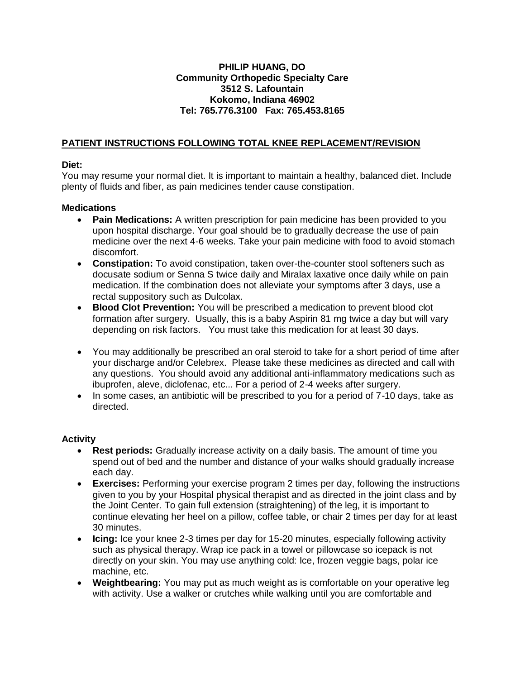### **PHILIP HUANG, DO Community Orthopedic Specialty Care 3512 S. Lafountain Kokomo, Indiana 46902 Tel: 765.776.3100 Fax: 765.453.8165**

## **PATIENT INSTRUCTIONS FOLLOWING TOTAL KNEE REPLACEMENT/REVISION**

### **Diet:**

You may resume your normal diet. It is important to maintain a healthy, balanced diet. Include plenty of fluids and fiber, as pain medicines tender cause constipation.

### **Medications**

- **Pain Medications:** A written prescription for pain medicine has been provided to you upon hospital discharge. Your goal should be to gradually decrease the use of pain medicine over the next 4-6 weeks. Take your pain medicine with food to avoid stomach discomfort.
- **Constipation:** To avoid constipation, taken over-the-counter stool softeners such as docusate sodium or Senna S twice daily and Miralax laxative once daily while on pain medication. If the combination does not alleviate your symptoms after 3 days, use a rectal suppository such as Dulcolax.
- **Blood Clot Prevention:** You will be prescribed a medication to prevent blood clot formation after surgery. Usually, this is a baby Aspirin 81 mg twice a day but will vary depending on risk factors. You must take this medication for at least 30 days.
- You may additionally be prescribed an oral steroid to take for a short period of time after your discharge and/or Celebrex. Please take these medicines as directed and call with any questions. You should avoid any additional anti-inflammatory medications such as ibuprofen, aleve, diclofenac, etc... For a period of 2-4 weeks after surgery.
- In some cases, an antibiotic will be prescribed to you for a period of 7-10 days, take as directed.

### **Activity**

- **Rest periods:** Gradually increase activity on a daily basis. The amount of time you spend out of bed and the number and distance of your walks should gradually increase each day.
- **Exercises:** Performing your exercise program 2 times per day, following the instructions given to you by your Hospital physical therapist and as directed in the joint class and by the Joint Center. To gain full extension (straightening) of the leg, it is important to continue elevating her heel on a pillow, coffee table, or chair 2 times per day for at least 30 minutes.
- **Icing:** Ice your knee 2-3 times per day for 15-20 minutes, especially following activity such as physical therapy. Wrap ice pack in a towel or pillowcase so icepack is not directly on your skin. You may use anything cold: Ice, frozen veggie bags, polar ice machine, etc.
- **Weightbearing:** You may put as much weight as is comfortable on your operative leg with activity. Use a walker or crutches while walking until you are comfortable and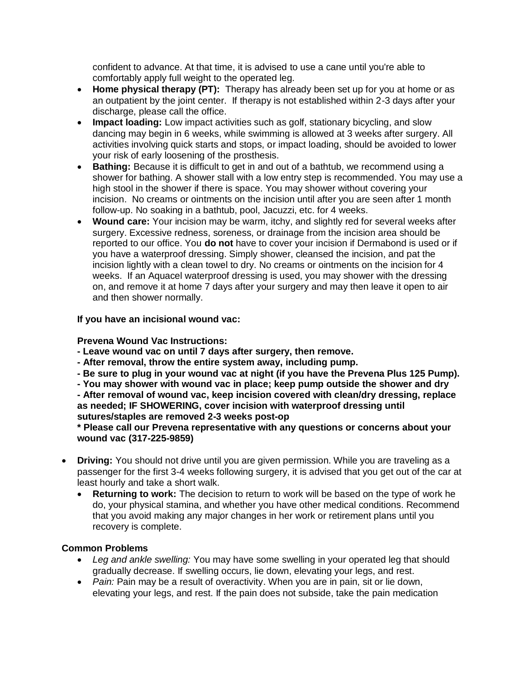confident to advance. At that time, it is advised to use a cane until you're able to comfortably apply full weight to the operated leg.

- **Home physical therapy (PT):** Therapy has already been set up for you at home or as an outpatient by the joint center. If therapy is not established within 2-3 days after your discharge, please call the office.
- **Impact loading:** Low impact activities such as golf, stationary bicycling, and slow dancing may begin in 6 weeks, while swimming is allowed at 3 weeks after surgery. All activities involving quick starts and stops, or impact loading, should be avoided to lower your risk of early loosening of the prosthesis.
- **Bathing:** Because it is difficult to get in and out of a bathtub, we recommend using a shower for bathing. A shower stall with a low entry step is recommended. You may use a high stool in the shower if there is space. You may shower without covering your incision. No creams or ointments on the incision until after you are seen after 1 month follow-up. No soaking in a bathtub, pool, Jacuzzi, etc. for 4 weeks.
- **Wound care:** Your incision may be warm, itchy, and slightly red for several weeks after surgery. Excessive redness, soreness, or drainage from the incision area should be reported to our office. You **do not** have to cover your incision if Dermabond is used or if you have a waterproof dressing. Simply shower, cleansed the incision, and pat the incision lightly with a clean towel to dry. No creams or ointments on the incision for 4 weeks. If an Aquacel waterproof dressing is used, you may shower with the dressing on, and remove it at home 7 days after your surgery and may then leave it open to air and then shower normally.

# **If you have an incisional wound vac:**

## **Prevena Wound Vac Instructions:**

- **- Leave wound vac on until 7 days after surgery, then remove.**
- **- After removal, throw the entire system away, including pump.**
- **- Be sure to plug in your wound vac at night (if you have the Prevena Plus 125 Pump).**
- **- You may shower with wound vac in place; keep pump outside the shower and dry**
- **- After removal of wound vac, keep incision covered with clean/dry dressing, replace as needed; IF SHOWERING, cover incision with waterproof dressing until sutures/staples are removed 2-3 weeks post-op**

### **\* Please call our Prevena representative with any questions or concerns about your wound vac (317-225-9859)**

- **Driving:** You should not drive until you are given permission. While you are traveling as a passenger for the first 3-4 weeks following surgery, it is advised that you get out of the car at least hourly and take a short walk.
	- **Returning to work:** The decision to return to work will be based on the type of work he do, your physical stamina, and whether you have other medical conditions. Recommend that you avoid making any major changes in her work or retirement plans until you recovery is complete.

# **Common Problems**

- *Leg and ankle swelling:* You may have some swelling in your operated leg that should gradually decrease. If swelling occurs, lie down, elevating your legs, and rest.
- *Pain:* Pain may be a result of overactivity. When you are in pain, sit or lie down, elevating your legs, and rest. If the pain does not subside, take the pain medication